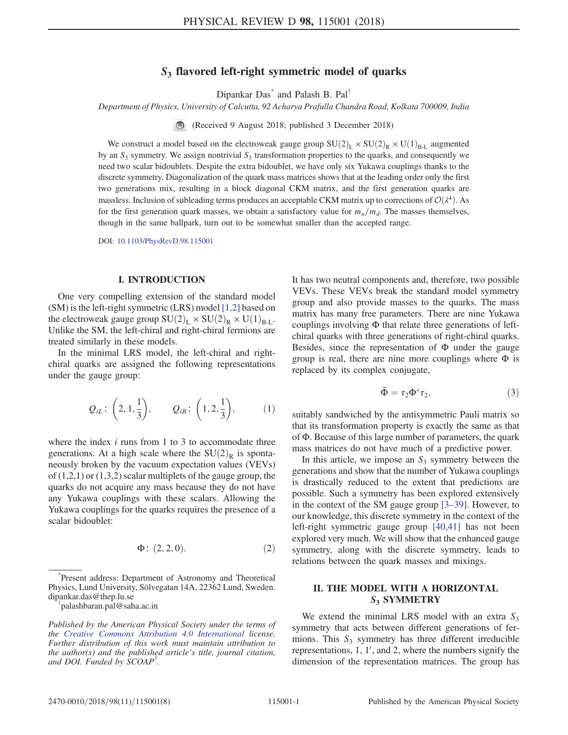# $S<sub>3</sub>$  flavored left-right symmetric model of quarks

Dipankar Das<sup>\*</sup> and Palash B. Pal<sup>[†](#page-0-1)</sup>

<span id="page-0-2"></span>Department of Physics, University of Calcutta, 92 Acharya Prafulla Chandra Road, Kolkata 700009, India

(Received 9 August 2018; published 3 December 2018)

We construct a model based on the electroweak gauge group  $SU(2)_L \times SU(2)_R \times U(1)_{B-L}$  augmented by an  $S_3$  symmetry. We assign nontrivial  $S_3$  transformation properties to the quarks, and consequently we need two scalar bidoublets. Despite the extra bidoublet, we have only six Yukawa couplings thanks to the discrete symmetry. Diagonalization of the quark mass matrices shows that at the leading order only the first two generations mix, resulting in a block diagonal CKM matrix, and the first generation quarks are massless. Inclusion of subleading terms produces an acceptable CKM matrix up to corrections of  $\mathcal{O}(\lambda^4)$ . As for the first generation quark masses, we obtain a satisfactory value for  $m_u/m_d$ . The masses themselves, though in the same ballpark, turn out to be somewhat smaller than the accepted range.

DOI: [10.1103/PhysRevD.98.115001](https://doi.org/10.1103/PhysRevD.98.115001)

## I. INTRODUCTION

One very compelling extension of the standard model (SM) is the left-right symmetric (LRS) model [\[1,2\]](#page-5-0) based on the electroweak gauge group  $SU(2)_L \times SU(2)_R \times U(1)_{B-L}$ . Unlike the SM, the left-chiral and right-chiral fermions are treated similarly in these models.

In the minimal LRS model, the left-chiral and rightchiral quarks are assigned the following representations under the gauge group:

$$
Q_{iL}
$$
:  $\left(2, 1, \frac{1}{3}\right)$ ,  $Q_{iR}$ :  $\left(1, 2, \frac{1}{3}\right)$ , (1)

<span id="page-0-3"></span>where the index  $i$  runs from 1 to 3 to accommodate three generations. At a high scale where the  $SU(2)_R$  is spontaneously broken by the vacuum expectation values (VEVs) of  $(1,2,1)$  or  $(1,3,2)$  scalar multiplets of the gauge group, the quarks do not acquire any mass because they do not have any Yukawa couplings with these scalars. Allowing the Yukawa couplings for the quarks requires the presence of a scalar bidoublet:

$$
\Phi: (2, 2, 0). \tag{2}
$$

<span id="page-0-0"></span>[\\*](#page-0-2) Present address: Department of Astronomy and Theoretical Physics, Lund University, Sölvegatan 14A, 22362 Lund, Sweden. dipankar.das@thep.lu.se [†](#page-0-2)

<span id="page-0-1"></span>palashbaran.pal@saha.ac.in

It has two neutral components and, therefore, two possible VEVs. These VEVs break the standard model symmetry group and also provide masses to the quarks. The mass matrix has many free parameters. There are nine Yukawa couplings involving Φ that relate three generations of leftchiral quarks with three generations of right-chiral quarks. Besides, since the representation of  $\Phi$  under the gauge group is real, there are nine more couplings where  $\Phi$  is replaced by its complex conjugate,

$$
\tilde{\Phi} = \tau_2 \Phi^* \tau_2, \tag{3}
$$

suitably sandwiched by the antisymmetric Pauli matrix so that its transformation property is exactly the same as that of Φ. Because of this large number of parameters, the quark mass matrices do not have much of a predictive power.

In this article, we impose an  $S_3$  symmetry between the generations and show that the number of Yukawa couplings is drastically reduced to the extent that predictions are possible. Such a symmetry has been explored extensively in the context of the SM gauge group [3–[39\]](#page-6-0). However, to our knowledge, this discrete symmetry in the context of the left-right symmetric gauge group [\[40,41\]](#page-6-1) has not been explored very much. We will show that the enhanced gauge symmetry, along with the discrete symmetry, leads to relations between the quark masses and mixings.

## II. THE MODEL WITH A HORIZONTAL S<sub>3</sub> SYMMETRY

We extend the minimal LRS model with an extra  $S_3$ symmetry that acts between different generations of fermions. This  $S_3$  symmetry has three different irreducible representations,  $1$ ,  $1'$ , and  $2$ , where the numbers signify the dimension of the representation matrices. The group has

Published by the American Physical Society under the terms of the [Creative Commons Attribution 4.0 International](https://creativecommons.org/licenses/by/4.0/) license. Further distribution of this work must maintain attribution to the author(s) and the published article's title, journal citation, and DOI. Funded by SCOAP<sup>3</sup>.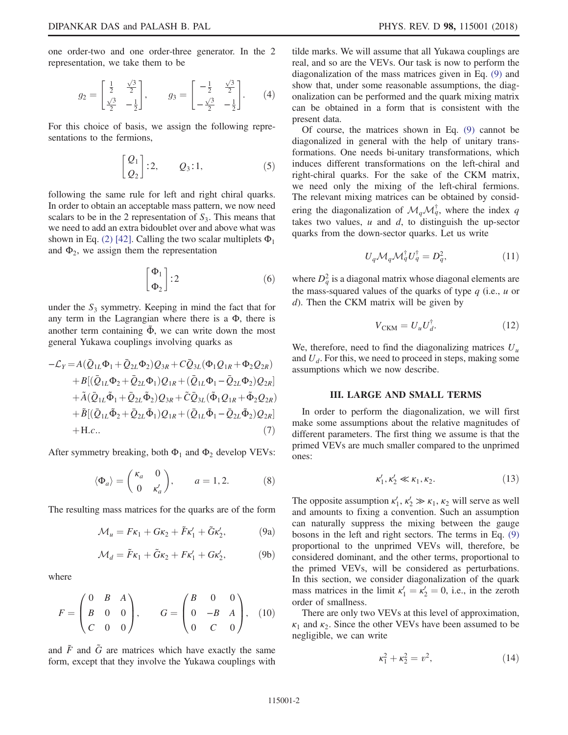one order-two and one order-three generator. In the 2 representation, we take them to be

$$
g_2 = \begin{bmatrix} \frac{1}{2} & \frac{\sqrt{3}}{2} \\ \frac{\sqrt{3}}{2} & -\frac{1}{2} \end{bmatrix}, \qquad g_3 = \begin{bmatrix} -\frac{1}{2} & \frac{\sqrt{3}}{2} \\ -\frac{\sqrt{3}}{2} & -\frac{1}{2} \end{bmatrix}. \qquad (4)
$$

For this choice of basis, we assign the following representations to the fermions,

$$
\begin{bmatrix} Q_1 \\ Q_2 \end{bmatrix} : 2, \qquad Q_3 : 1,\tag{5}
$$

following the same rule for left and right chiral quarks. In order to obtain an acceptable mass pattern, we now need scalars to be in the 2 representation of  $S_3$ . This means that we need to add an extra bidoublet over and above what was shown in Eq. [\(2\)](#page-0-3) [\[42\].](#page-6-2) Calling the two scalar multiplets  $\Phi_1$ and  $\Phi_2$ , we assign them the representation

$$
\begin{bmatrix} \Phi_1 \\ \Phi_2 \end{bmatrix} : 2 \tag{6}
$$

under the  $S_3$  symmetry. Keeping in mind the fact that for any term in the Lagrangian where there is a Φ, there is another term containing  $\tilde{\Phi}$ , we can write down the most general Yukawa couplings involving quarks as

$$
-\mathcal{L}_{Y} = A(\bar{Q}_{1L}\Phi_{1} + \bar{Q}_{2L}\Phi_{2})Q_{3R} + C\bar{Q}_{3L}(\Phi_{1}Q_{1R} + \Phi_{2}Q_{2R})
$$
  
+  $B[(\bar{Q}_{1L}\Phi_{2} + \bar{Q}_{2L}\Phi_{1})Q_{1R} + (\bar{Q}_{1L}\Phi_{1} - \bar{Q}_{2L}\Phi_{2})Q_{2R}]$   
+  $\tilde{A}(\bar{Q}_{1L}\tilde{\Phi}_{1} + \bar{Q}_{2L}\tilde{\Phi}_{2})Q_{3R} + \tilde{C}\bar{Q}_{3L}(\tilde{\Phi}_{1}Q_{1R} + \tilde{\Phi}_{2}Q_{2R})$   
+  $\tilde{B}[(\bar{Q}_{1L}\tilde{\Phi}_{2} + \bar{Q}_{2L}\tilde{\Phi}_{1})Q_{1R} + (\bar{Q}_{1L}\tilde{\Phi}_{1} - \bar{Q}_{2L}\tilde{\Phi}_{2})Q_{2R}]$   
+ H.c.. (7)

After symmetry breaking, both  $\Phi_1$  and  $\Phi_2$  develop VEVs:

$$
\langle \Phi_a \rangle = \begin{pmatrix} \kappa_a & 0 \\ 0 & \kappa'_a \end{pmatrix}, \qquad a = 1, 2. \tag{8}
$$

<span id="page-1-0"></span>The resulting mass matrices for the quarks are of the form

$$
\mathcal{M}_u = F\kappa_1 + G\kappa_2 + \tilde{F}\kappa_1' + \tilde{G}\kappa_2',\tag{9a}
$$

$$
\mathcal{M}_d = \tilde{F}\kappa_1 + \tilde{G}\kappa_2 + F\kappa_1' + G\kappa_2',\tag{9b}
$$

where

$$
F = \begin{pmatrix} 0 & B & A \\ B & 0 & 0 \\ C & 0 & 0 \end{pmatrix}, \qquad G = \begin{pmatrix} B & 0 & 0 \\ 0 & -B & A \\ 0 & C & 0 \end{pmatrix}, \quad (10)
$$

and  $\tilde{F}$  and  $\tilde{G}$  are matrices which have exactly the same form, except that they involve the Yukawa couplings with tilde marks. We will assume that all Yukawa couplings are real, and so are the VEVs. Our task is now to perform the diagonalization of the mass matrices given in Eq. [\(9\)](#page-1-0) and show that, under some reasonable assumptions, the diagonalization can be performed and the quark mixing matrix can be obtained in a form that is consistent with the present data.

Of course, the matrices shown in Eq. [\(9\)](#page-1-0) cannot be diagonalized in general with the help of unitary transformations. One needs bi-unitary transformations, which induces different transformations on the left-chiral and right-chiral quarks. For the sake of the CKM matrix, we need only the mixing of the left-chiral fermions. The relevant mixing matrices can be obtained by considering the diagonalization of  $\mathcal{M}_q \mathcal{M}_q^{\dagger}$ , where the index q takes two values,  $u$  and  $d$ , to distinguish the up-sector quarks from the down-sector quarks. Let us write

$$
U_q \mathcal{M}_q \mathcal{M}_q^{\dagger} U_q^{\dagger} = D_q^2, \tag{11}
$$

<span id="page-1-3"></span><span id="page-1-2"></span>where  $D_q^2$  is a diagonal matrix whose diagonal elements are the mass-squared values of the quarks of type  $q$  (i.e.,  $u$  or d). Then the CKM matrix will be given by

$$
V_{\text{CKM}} = U_u U_d^{\dagger}.
$$
 (12)

We, therefore, need to find the diagonalizing matrices  $U_u$ and  $U_d$ . For this, we need to proceed in steps, making some assumptions which we now describe.

#### III. LARGE AND SMALL TERMS

<span id="page-1-1"></span>In order to perform the diagonalization, we will first make some assumptions about the relative magnitudes of different parameters. The first thing we assume is that the primed VEVs are much smaller compared to the unprimed ones:

$$
\kappa_1', \kappa_2' \ll \kappa_1, \kappa_2. \tag{13}
$$

The opposite assumption  $\kappa'_1, \kappa'_2 \gg \kappa_1, \kappa_2$  will serve as well and amounts to fixing a convention. Such an assumption can naturally suppress the mixing between the gauge bosons in the left and right sectors. The terms in Eq. [\(9\)](#page-1-0) proportional to the unprimed VEVs will, therefore, be considered dominant, and the other terms, proportional to the primed VEVs, will be considered as perturbations. In this section, we consider diagonalization of the quark mass matrices in the limit  $\kappa_1' = \kappa_2' = 0$ , i.e., in the zeroth order of smallness.

There are only two VEVs at this level of approximation,  $\kappa_1$  and  $\kappa_2$ . Since the other VEVs have been assumed to be negligible, we can write

$$
\kappa_1^2 + \kappa_2^2 = v^2, \tag{14}
$$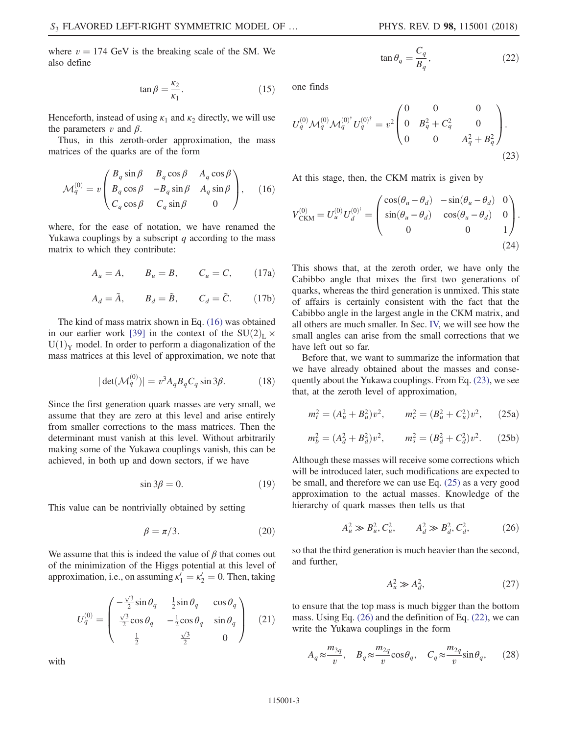$(22)$ 

where  $v = 174$  GeV is the breaking scale of the SM. We also define

$$
\tan \beta = \frac{\kappa_2}{\kappa_1}.\tag{15}
$$

Henceforth, instead of using  $\kappa_1$  and  $\kappa_2$  directly, we will use the parameters v and  $\beta$ .

<span id="page-2-0"></span>Thus, in this zeroth-order approximation, the mass matrices of the quarks are of the form

$$
\mathcal{M}_q^{(0)} = v \begin{pmatrix} B_q \sin \beta & B_q \cos \beta & A_q \cos \beta \\ B_q \cos \beta & -B_q \sin \beta & A_q \sin \beta \\ C_q \cos \beta & C_q \sin \beta & 0 \end{pmatrix}, \quad (16)
$$

where, for the ease of notation, we have renamed the Yukawa couplings by a subscript  $q$  according to the mass matrix to which they contribute:

$$
A_u = A, \qquad B_u = B, \qquad C_u = C, \qquad (17a)
$$

$$
A_d = \tilde{A}, \qquad B_d = \tilde{B}, \qquad C_d = \tilde{C}.
$$
 (17b)

The kind of mass matrix shown in Eq. [\(16\)](#page-2-0) was obtained in our earlier work [\[39\]](#page-6-3) in the context of the  $SU(2)_L \times$  $U(1)<sub>y</sub>$  model. In order to perform a diagonalization of the mass matrices at this level of approximation, we note that

$$
|\det(\mathcal{M}_q^{(0)})| = v^3 A_q B_q C_q \sin 3\beta.
$$
 (18)

<span id="page-2-5"></span>Since the first generation quark masses are very small, we assume that they are zero at this level and arise entirely from smaller corrections to the mass matrices. Then the determinant must vanish at this level. Without arbitrarily making some of the Yukawa couplings vanish, this can be achieved, in both up and down sectors, if we have

$$
\sin 3\beta = 0. \tag{19}
$$

<span id="page-2-6"></span>This value can be nontrivially obtained by setting

$$
\beta = \pi/3. \tag{20}
$$

We assume that this is indeed the value of  $\beta$  that comes out of the minimization of the Higgs potential at this level of approximation, i.e., on assuming  $\kappa_1' = \kappa_2' = 0$ . Then, taking

$$
U_q^{(0)} = \begin{pmatrix} -\frac{\sqrt{3}}{2}\sin\theta_q & \frac{1}{2}\sin\theta_q & \cos\theta_q \\ \frac{\sqrt{3}}{2}\cos\theta_q & -\frac{1}{2}\cos\theta_q & \sin\theta_q \\ \frac{1}{2} & \frac{\sqrt{3}}{2} & 0 \end{pmatrix}
$$
 (21)

<span id="page-2-4"></span>with

<span id="page-2-1"></span>one finds

$$
U_q^{(0)} \mathcal{M}_q^{(0)\dagger} \mathcal{M}_q^{(0)\dagger} U_q^{(0)\dagger} = v^2 \begin{pmatrix} 0 & 0 & 0 \\ 0 & B_q^2 + C_q^2 & 0 \\ 0 & 0 & A_q^2 + B_q^2 \end{pmatrix} . \tag{23}
$$

 $\tan \theta_q = \frac{C_q}{B_q}$ 

<span id="page-2-8"></span>At this stage, then, the CKM matrix is given by

$$
V_{\text{CKM}}^{(0)} = U_u^{(0)} U_d^{(0)^{\dagger}} = \begin{pmatrix} \cos(\theta_u - \theta_d) & -\sin(\theta_u - \theta_d) & 0\\ \sin(\theta_u - \theta_d) & \cos(\theta_u - \theta_d) & 0\\ 0 & 0 & 1 \end{pmatrix}.
$$
\n(24)

This shows that, at the zeroth order, we have only the Cabibbo angle that mixes the first two generations of quarks, whereas the third generation is unmixed. This state of affairs is certainly consistent with the fact that the Cabibbo angle in the largest angle in the CKM matrix, and all others are much smaller. In Sec. [IV,](#page-3-0) we will see how the small angles can arise from the small corrections that we have left out so far.

<span id="page-2-2"></span>Before that, we want to summarize the information that we have already obtained about the masses and consequently about the Yukawa couplings. From Eq. [\(23\),](#page-2-1) we see that, at the zeroth level of approximation,

$$
m_t^2 = (A_u^2 + B_u^2)v^2, \qquad m_c^2 = (B_u^2 + C_u^2)v^2, \qquad (25a)
$$

$$
m_b^2 = (A_d^2 + B_d^2)v^2, \qquad m_s^2 = (B_d^2 + C_d^2)v^2. \tag{25b}
$$

<span id="page-2-3"></span>Although these masses will receive some corrections which will be introduced later, such modifications are expected to be small, and therefore we can use Eq. [\(25\)](#page-2-2) as a very good approximation to the actual masses. Knowledge of the hierarchy of quark masses then tells us that

$$
A_u^2 \gg B_u^2, C_u^2, \qquad A_d^2 \gg B_d^2, C_d^2, \tag{26}
$$

so that the third generation is much heavier than the second, and further,

$$
A_u^2 \gg A_d^2,\tag{27}
$$

<span id="page-2-7"></span>to ensure that the top mass is much bigger than the bottom mass. Using Eq. [\(26\)](#page-2-3) and the definition of Eq. [\(22\),](#page-2-4) we can write the Yukawa couplings in the form

$$
A_q \approx \frac{m_{3q}}{v}, \quad B_q \approx \frac{m_{2q}}{v} \cos \theta_q, \quad C_q \approx \frac{m_{2q}}{v} \sin \theta_q, \tag{28}
$$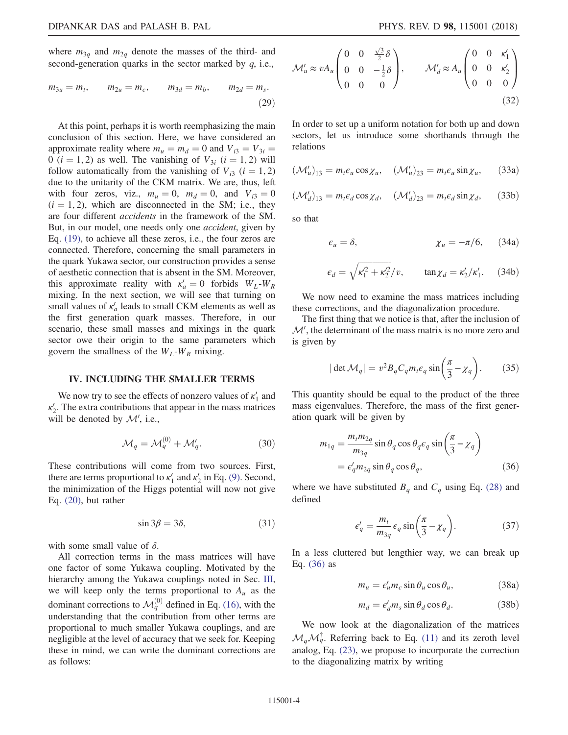where  $m_{3q}$  and  $m_{2q}$  denote the masses of the third- and second-generation quarks in the sector marked by  $q$ , i.e.,

$$
m_{3u} = m_t
$$
,  $m_{2u} = m_c$ ,  $m_{3d} = m_b$ ,  $m_{2d} = m_s$ . (29)

At this point, perhaps it is worth reemphasizing the main conclusion of this section. Here, we have considered an approximate reality where  $m_u = m_d = 0$  and  $V_{i3} = V_{3i} =$ 0 ( $i = 1, 2$ ) as well. The vanishing of  $V_{3i}$  ( $i = 1, 2$ ) will follow automatically from the vanishing of  $V_{i3}$  ( $i = 1, 2$ ) due to the unitarity of the CKM matrix. We are, thus, left with four zeros, viz.,  $m_u = 0$ ,  $m_d = 0$ , and  $V_{i3} = 0$  $(i = 1, 2)$ , which are disconnected in the SM; i.e., they are four different accidents in the framework of the SM. But, in our model, one needs only one *accident*, given by Eq. [\(19\),](#page-2-5) to achieve all these zeros, i.e., the four zeros are connected. Therefore, concerning the small parameters in the quark Yukawa sector, our construction provides a sense of aesthetic connection that is absent in the SM. Moreover, this approximate reality with  $\kappa'_a = 0$  forbids  $W_L-W_R$ mixing. In the next section, we will see that turning on small values of  $\kappa_a$  leads to small CKM elements as well as the first generation quark masses. Therefore, in our scenario, these small masses and mixings in the quark sector owe their origin to the same parameters which govern the smallness of the  $W_L-W_R$  mixing.

#### <span id="page-3-0"></span>IV. INCLUDING THE SMALLER TERMS

We now try to see the effects of nonzero values of  $\kappa_1'$  and  $\kappa_2'$ . The extra contributions that appear in the mass matrices will be denoted by  $\mathcal{M}'$ , i.e.,

$$
\mathcal{M}_q = \mathcal{M}_q^{(0)} + \mathcal{M}_q'. \tag{30}
$$

These contributions will come from two sources. First, there are terms proportional to  $\kappa'_1$  and  $\kappa'_2$  in Eq. [\(9\).](#page-1-0) Second, the minimization of the Higgs potential will now not give Eq. [\(20\)](#page-2-6), but rather

$$
\sin 3\beta = 3\delta, \tag{31}
$$

with some small value of  $\delta$ .

<span id="page-3-3"></span>All correction terms in the mass matrices will have one factor of some Yukawa coupling. Motivated by the hierarchy among the Yukawa couplings noted in Sec. [III](#page-1-1), we will keep only the terms proportional to  $A_u$  as the dominant corrections to  $\mathcal{M}_q^{(0)}$  defined in Eq. [\(16\),](#page-2-0) with the understanding that the contribution from other terms are proportional to much smaller Yukawa couplings, and are negligible at the level of accuracy that we seek for. Keeping these in mind, we can write the dominant corrections are as follows:

$$
\mathcal{M}'_{u} \approx v A_{u} \begin{pmatrix} 0 & 0 & \frac{\sqrt{3}}{2} \delta \\ 0 & 0 & -\frac{1}{2} \delta \\ 0 & 0 & 0 \end{pmatrix}, \qquad \mathcal{M}'_{d} \approx A_{u} \begin{pmatrix} 0 & 0 & \kappa'_{1} \\ 0 & 0 & \kappa'_{2} \\ 0 & 0 & 0 \end{pmatrix}
$$
\n(32)

In order to set up a uniform notation for both up and down sectors, let us introduce some shorthands through the relations

$$
(\mathcal{M}'_u)_{13} = m_t \epsilon_u \cos \chi_u, \quad (\mathcal{M}'_u)_{23} = m_t \epsilon_u \sin \chi_u, \quad (33a)
$$

$$
(\mathcal{M}'_d)_{13} = m_t \epsilon_d \cos \chi_d, \quad (\mathcal{M}'_d)_{23} = m_t \epsilon_d \sin \chi_d, \quad (33b)
$$

so that

$$
\varepsilon_u = \delta, \qquad \qquad \chi_u = -\pi/6, \qquad (34a)
$$

$$
\epsilon_d = \sqrt{\kappa_1'^2 + \kappa_2'^2}/v, \qquad \tan \chi_d = \kappa_2'/\kappa_1'. \qquad (34b)
$$

We now need to examine the mass matrices including these corrections, and the diagonalization procedure.

The first thing that we notice is that, after the inclusion of  $\mathcal{M}'$ , the determinant of the mass matrix is no more zero and is given by

$$
|\det \mathcal{M}_q| = v^2 B_q C_q m_t \epsilon_q \sin\left(\frac{\pi}{3} - \chi_q\right). \tag{35}
$$

<span id="page-3-1"></span>This quantity should be equal to the product of the three mass eigenvalues. Therefore, the mass of the first generation quark will be given by

$$
m_{1q} = \frac{m_t m_{2q}}{m_{3q}} \sin \theta_q \cos \theta_q \epsilon_q \sin \left(\frac{\pi}{3} - \chi_q\right)
$$
  
=  $\epsilon'_q m_{2q} \sin \theta_q \cos \theta_q$ , (36)

where we have substituted  $B_q$  and  $C_q$  using Eq. [\(28\)](#page-2-7) and defined

$$
\epsilon'_{q} = \frac{m_t}{m_{3q}} \epsilon_q \sin\left(\frac{\pi}{3} - \chi_q\right). \tag{37}
$$

<span id="page-3-4"></span>In a less cluttered but lengthier way, we can break up Eq. [\(36\)](#page-3-1) as

$$
m_u = \epsilon'_u m_c \sin \theta_u \cos \theta_u, \qquad (38a)
$$

$$
m_d = \epsilon'_d m_s \sin \theta_d \cos \theta_d. \tag{38b}
$$

<span id="page-3-2"></span>We now look at the diagonalization of the matrices  $\mathcal{M}_q\mathcal{M}_q^{\dagger}$ . Referring back to Eq. [\(11\)](#page-1-2) and its zeroth level analog, Eq. [\(23\)](#page-2-1), we propose to incorporate the correction to the diagonalizing matrix by writing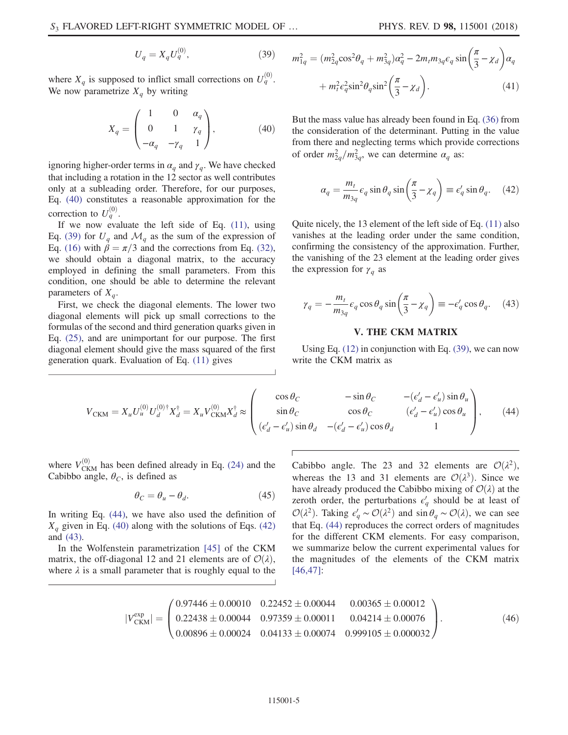$$
U_q = X_q U_q^{(0)},\t\t(39)
$$

<span id="page-4-0"></span>where  $X_q$  is supposed to inflict small corrections on  $U_q^{(0)}$ . We now parametrize  $X_q$  by writing

$$
X_q = \begin{pmatrix} 1 & 0 & \alpha_q \\ 0 & 1 & \gamma_q \\ -\alpha_q & -\gamma_q & 1 \end{pmatrix},
$$
 (40)

ignoring higher-order terms in  $\alpha_q$  and  $\gamma_q$ . We have checked that including a rotation in the 12 sector as well contributes only at a subleading order. Therefore, for our purposes, Eq. [\(40\)](#page-4-0) constitutes a reasonable approximation for the correction to  $U_q^{(0)}$ .

If we now evaluate the left side of Eq.  $(11)$ , using Eq. [\(39\)](#page-3-2) for  $U_q$  and  $\mathcal{M}_q$  as the sum of the expression of Eq. [\(16\)](#page-2-0) with  $\beta = \pi/3$  and the corrections from Eq. [\(32\)](#page-3-3), we should obtain a diagonal matrix, to the accuracy employed in defining the small parameters. From this condition, one should be able to determine the relevant parameters of  $X_q$ .

First, we check the diagonal elements. The lower two diagonal elements will pick up small corrections to the formulas of the second and third generation quarks given in Eq. [\(25\),](#page-2-2) and are unimportant for our purpose. The first diagonal element should give the mass squared of the first generation quark. Evaluation of Eq. [\(11\)](#page-1-2) gives

$$
m_{1q}^2 = (m_{2q}^2 \cos^2 \theta_q + m_{3q}^2) \alpha_q^2 - 2m_t m_{3q} \epsilon_q \sin \left(\frac{\pi}{3} - \chi_d\right) \alpha_q
$$

$$
+ m_t^2 \epsilon_q^2 \sin^2 \theta_q \sin^2 \left(\frac{\pi}{3} - \chi_d\right). \tag{41}
$$

<span id="page-4-2"></span>But the mass value has already been found in Eq. [\(36\)](#page-3-1) from the consideration of the determinant. Putting in the value from there and neglecting terms which provide corrections of order  $m_{2q}^2/m_{3q}^2$ , we can determine  $\alpha_q$  as:

$$
\alpha_q = \frac{m_t}{m_{3q}} \epsilon_q \sin \theta_q \sin \left(\frac{\pi}{3} - \chi_q\right) \equiv \epsilon'_q \sin \theta_q. \quad (42)
$$

<span id="page-4-3"></span>Quite nicely, the 13 element of the left side of Eq. [\(11\)](#page-1-2) also vanishes at the leading order under the same condition, confirming the consistency of the approximation. Further, the vanishing of the 23 element at the leading order gives the expression for  $\gamma_q$  as

$$
\gamma_q = -\frac{m_t}{m_{3q}} \epsilon_q \cos \theta_q \sin \left(\frac{\pi}{3} - \chi_q\right) \equiv -\epsilon'_q \cos \theta_q. \quad (43)
$$

### V. THE CKM MATRIX

Using Eq. [\(12\)](#page-1-3) in conjunction with Eq. [\(39\),](#page-3-2) we can now write the CKM matrix as

<span id="page-4-1"></span>
$$
V_{\text{CKM}} = X_u U_u^{(0)} U_d^{(0) \dagger} X_d^{\dagger} = X_u V_{\text{CKM}}^{(0)} X_d^{\dagger} \approx \begin{pmatrix} \cos \theta_C & -\sin \theta_C & -(\epsilon_d' - \epsilon_u') \sin \theta_u \\ \sin \theta_C & \cos \theta_C & (\epsilon_d' - \epsilon_u') \cos \theta_u \\ (\epsilon_d' - \epsilon_u') \sin \theta_d & -(\epsilon_d' - \epsilon_u') \cos \theta_d & 1 \end{pmatrix}, \tag{44}
$$

<span id="page-4-5"></span>where  $V_{\text{CKM}}^{(0)}$  has been defined already in Eq. [\(24\)](#page-2-8) and the Cabibbo angle,  $\theta_C$ , is defined as

$$
\theta_C = \theta_u - \theta_d. \tag{45}
$$

In writing Eq. [\(44\)](#page-4-1), we have also used the definition of  $X_q$  given in Eq. [\(40\)](#page-4-0) along with the solutions of Eqs. [\(42\)](#page-4-2) and [\(43\).](#page-4-3)

<span id="page-4-4"></span>In the Wolfenstein parametrization [\[45\]](#page-7-0) of the CKM matrix, the off-diagonal 12 and 21 elements are of  $\mathcal{O}(\lambda)$ , where  $\lambda$  is a small parameter that is roughly equal to the Cabibbo angle. The 23 and 32 elements are  $\mathcal{O}(\lambda^2)$ , whereas the 13 and 31 elements are  $\mathcal{O}(\lambda^3)$ . Since we have already produced the Cabibbo mixing of  $\mathcal{O}(\lambda)$  at the zeroth order, the perturbations  $\epsilon'_{q}$  should be at least of  $\mathcal{O}(\lambda^2)$ . Taking  $\epsilon'_q \sim \mathcal{O}(\lambda^2)$  and sin $\theta_q \sim \mathcal{O}(\lambda)$ , we can see that Eq. [\(44\)](#page-4-1) reproduces the correct orders of magnitudes for the different CKM elements. For easy comparison, we summarize below the current experimental values for the magnitudes of the elements of the CKM matrix [\[46,47\]](#page-7-1):

$$
|V_{\text{CKM}}^{\text{exp}}| = \begin{pmatrix} 0.97446 \pm 0.00010 & 0.22452 \pm 0.00044 & 0.00365 \pm 0.00012 \\ 0.22438 \pm 0.00044 & 0.97359 \pm 0.00011 & 0.04214 \pm 0.00076 \\ 0.00896 \pm 0.00024 & 0.04133 \pm 0.00074 & 0.999105 \pm 0.000032 \end{pmatrix}.
$$
 (46)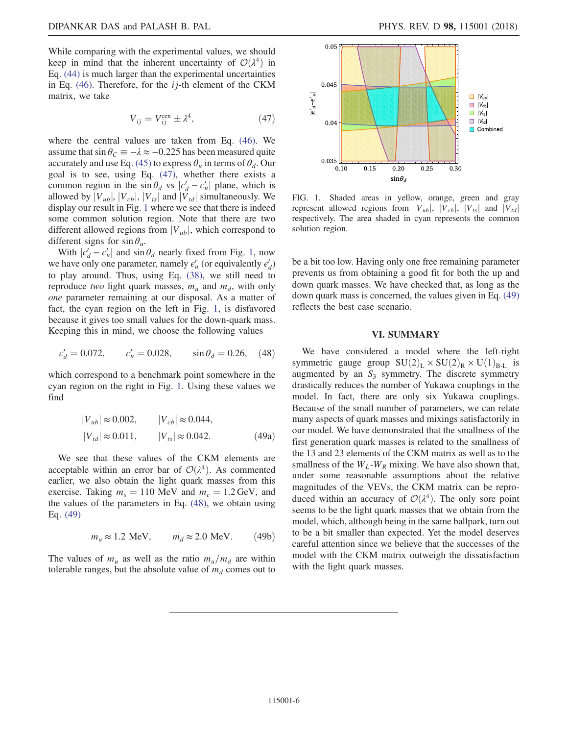<span id="page-5-1"></span>While comparing with the experimental values, we should keep in mind that the inherent uncertainty of  $\mathcal{O}(\lambda^4)$  in Eq. [\(44\)](#page-4-1) is much larger than the experimental uncertainties in Eq.  $(46)$ . Therefore, for the *i j*-th element of the CKM matrix, we take

$$
V_{ij} = V_{ij}^{\text{cen}} \pm \lambda^4,\tag{47}
$$

where the central values are taken from Eq. [\(46\)](#page-4-4). We assume that  $\sin \theta_C \equiv -\lambda \approx -0.225$  has been measured quite accurately and use Eq. [\(45\)](#page-4-5) to express  $\theta_u$  in terms of  $\theta_d$ . Our goal is to see, using Eq. [\(47\)](#page-5-1), whether there exists a common region in the  $\sin \theta_d$  vs  $|\epsilon_d' - \epsilon_u'|$  plane, which is allowed by  $|V_{ub}|$ ,  $|V_{cb}|$ ,  $|V_{ts}|$  and  $|V_{td}|$  simultaneously. We display our result in Fig. [1](#page-5-2) where we see that there is indeed some common solution region. Note that there are two different allowed regions from  $|V_{ub}|$ , which correspond to different signs for  $\sin \theta_u$ .

With  $|\epsilon_d' - \epsilon_u'|$  and  $\sin \theta_d$  nearly fixed from Fig. [1](#page-5-2), now we have only one parameter, namely  $\epsilon'_u$  (or equivalently  $\epsilon'_d$ ) to play around. Thus, using Eq. [\(38\)](#page-3-4), we still need to reproduce two light quark masses,  $m_u$  and  $m_d$ , with only one parameter remaining at our disposal. As a matter of fact, the cyan region on the left in Fig. [1](#page-5-2), is disfavored because it gives too small values for the down-quark mass. Keeping this in mind, we choose the following values

<span id="page-5-3"></span>
$$
\epsilon'_d = 0.072
$$
,  $\epsilon'_u = 0.028$ ,  $\sin \theta_d = 0.26$ , (48)

<span id="page-5-4"></span>which correspond to a benchmark point somewhere in the cyan region on the right in Fig. [1.](#page-5-2) Using these values we find

$$
|V_{ub}| \approx 0.002, \t |V_{cb}| \approx 0.044, |V_{td}| \approx 0.011, \t |V_{ts}| \approx 0.042.
$$
 (49a)

We see that these values of the CKM elements are acceptable within an error bar of  $\mathcal{O}(\lambda^4)$ . As commented earlier, we also obtain the light quark masses from this exercise. Taking  $m_s = 110$  MeV and  $m_c = 1.2$  GeV, and the values of the parameters in Eq. [\(48\),](#page-5-3) we obtain using Eq. [\(49\)](#page-5-4)

$$
m_u \approx 1.2 \text{ MeV}, \qquad m_d \approx 2.0 \text{ MeV}. \tag{49b}
$$

The values of  $m_u$  as well as the ratio  $m_u/m_d$  are within tolerable ranges, but the absolute value of  $m_d$  comes out to

<span id="page-5-2"></span>

FIG. 1. Shaded areas in yellow, orange, green and gray represent allowed regions from  $|V_{ub}|$ ,  $|V_{cb}|$ ,  $|V_{ts}|$  and  $|V_{td}|$ respectively. The area shaded in cyan represents the common solution region.

be a bit too low. Having only one free remaining parameter prevents us from obtaining a good fit for both the up and down quark masses. We have checked that, as long as the down quark mass is concerned, the values given in Eq. [\(49\)](#page-5-4) reflects the best case scenario.

#### <span id="page-5-0"></span>VI. SUMMARY

We have considered a model where the left-right symmetric gauge group  $SU(2)_L \times SU(2)_R \times U(1)_{B-L}$  is augmented by an  $S_3$  symmetry. The discrete symmetry drastically reduces the number of Yukawa couplings in the model. In fact, there are only six Yukawa couplings. Because of the small number of parameters, we can relate many aspects of quark masses and mixings satisfactorily in our model. We have demonstrated that the smallness of the first generation quark masses is related to the smallness of the 13 and 23 elements of the CKM matrix as well as to the smallness of the  $W_L-W_R$  mixing. We have also shown that, under some reasonable assumptions about the relative magnitudes of the VEVs, the CKM matrix can be reproduced within an accuracy of  $\mathcal{O}(\lambda^4)$ . The only sore point seems to be the light quark masses that we obtain from the model, which, although being in the same ballpark, turn out to be a bit smaller than expected. Yet the model deserves careful attention since we believe that the successes of the model with the CKM matrix outweigh the dissatisfaction with the light quark masses.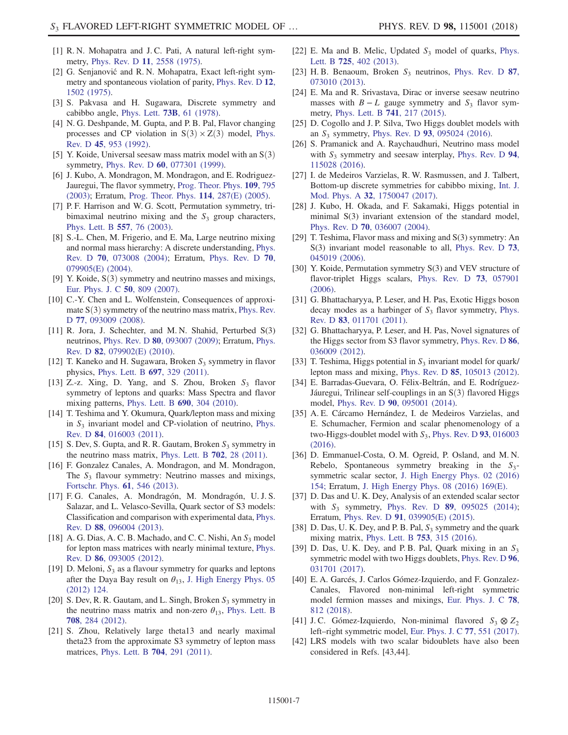- [1] R. N. Mohapatra and J. C. Pati, A natural left-right symmetry, Phys. Rev. D 11[, 2558 \(1975\).](https://doi.org/10.1103/PhysRevD.11.2558)
- [2] G. Senjanović and R. N. Mohapatra, Exact left-right symmetry and spontaneous violation of parity, [Phys. Rev. D](https://doi.org/10.1103/PhysRevD.12.1502) 12, [1502 \(1975\)](https://doi.org/10.1103/PhysRevD.12.1502).
- <span id="page-6-0"></span>[3] S. Pakvasa and H. Sugawara, Discrete symmetry and cabibbo angle, Phys. Lett. 73B[, 61 \(1978\).](https://doi.org/10.1016/0370-2693(78)90172-7)
- [4] N. G. Deshpande, M. Gupta, and P. B. Pal, Flavor changing processes and CP violation in  $S(3) \times Z(3)$  model, [Phys.](https://doi.org/10.1103/PhysRevD.45.953) Rev. D 45[, 953 \(1992\)](https://doi.org/10.1103/PhysRevD.45.953).
- [5] Y. Koide, Universal seesaw mass matrix model with an  $S(3)$ symmetry, Phys. Rev. D 60[, 077301 \(1999\)](https://doi.org/10.1103/PhysRevD.60.077301).
- [6] J. Kubo, A. Mondragon, M. Mondragon, and E. Rodriguez-Jauregui, The flavor symmetry, [Prog. Theor. Phys.](https://doi.org/10.1143/PTP.109.795) 109, 795 [\(2003\);](https://doi.org/10.1143/PTP.109.795) Erratum, [Prog. Theor. Phys.](https://doi.org/10.1143/PTP.114.287) 114, 287(E) (2005).
- [7] P. F. Harrison and W. G. Scott, Permutation symmetry, tribimaximal neutrino mixing and the  $S_3$  group characters, [Phys. Lett. B](https://doi.org/10.1016/S0370-2693(03)00183-7) 557, 76 (2003).
- [8] S.-L. Chen, M. Frigerio, and E. Ma, Large neutrino mixing and normal mass hierarchy: A discrete understanding, [Phys.](https://doi.org/10.1103/PhysRevD.70.073008) Rev. D 70[, 073008 \(2004\);](https://doi.org/10.1103/PhysRevD.70.073008) Erratum, [Phys. Rev. D](https://doi.org/10.1103/PhysRevD.70.079905) 70, [079905\(E\) \(2004\).](https://doi.org/10.1103/PhysRevD.70.079905)
- [9] Y. Koide,  $S(3)$  symmetry and neutrino masses and mixings, [Eur. Phys. J. C](https://doi.org/10.1140/epjc/s10052-007-0261-3) 50, 809 (2007).
- [10] C.-Y. Chen and L. Wolfenstein, Consequences of approximate  $S(3)$  symmetry of the neutrino mass matrix, [Phys. Rev.](https://doi.org/10.1103/PhysRevD.77.093009) D 77[, 093009 \(2008\)](https://doi.org/10.1103/PhysRevD.77.093009).
- [11] R. Jora, J. Schechter, and M.N. Shahid, Perturbed S(3) neutrinos, Phys. Rev. D 80[, 093007 \(2009\)](https://doi.org/10.1103/PhysRevD.80.093007); Erratum, [Phys.](https://doi.org/10.1103/PhysRevD.82.079902) Rev. D 82[, 079902\(E\) \(2010\)](https://doi.org/10.1103/PhysRevD.82.079902).
- [12] T. Kaneko and H. Sugawara, Broken  $S_3$  symmetry in flavor physics, [Phys. Lett. B](https://doi.org/10.1016/j.physletb.2011.02.017) 697, 329 (2011).
- [13] Z.-z. Xing, D. Yang, and S. Zhou, Broken  $S_3$  flavor symmetry of leptons and quarks: Mass Spectra and flavor mixing patterns, [Phys. Lett. B](https://doi.org/10.1016/j.physletb.2010.05.045) 690, 304 (2010).
- [14] T. Teshima and Y. Okumura, Quark/lepton mass and mixing in  $S_3$  invariant model and CP-violation of neutrino, [Phys.](https://doi.org/10.1103/PhysRevD.84.016003) Rev. D 84[, 016003 \(2011\)](https://doi.org/10.1103/PhysRevD.84.016003).
- [15] S. Dev, S. Gupta, and R. R. Gautam, Broken  $S_3$  symmetry in the neutrino mass matrix, [Phys. Lett. B](https://doi.org/10.1016/j.physletb.2011.06.055) 702, 28 (2011).
- [16] F. Gonzalez Canales, A. Mondragon, and M. Mondragon, The  $S_3$  flavour symmetry: Neutrino masses and mixings, [Fortschr. Phys.](https://doi.org/10.1002/prop.201200121) 61, 546 (2013).
- [17] F. G. Canales, A. Mondragón, M. Mondragón, U. J. S. Salazar, and L. Velasco-Sevilla, Quark sector of S3 models: Classification and comparison with experimental data, [Phys.](https://doi.org/10.1103/PhysRevD.88.096004) Rev. D 88[, 096004 \(2013\)](https://doi.org/10.1103/PhysRevD.88.096004).
- [18] A. G. Dias, A. C. B. Machado, and C. C. Nishi, An  $S_3$  model for lepton mass matrices with nearly minimal texture, [Phys.](https://doi.org/10.1103/PhysRevD.86.093005) Rev. D 86[, 093005 \(2012\)](https://doi.org/10.1103/PhysRevD.86.093005).
- [19] D. Meloni,  $S_3$  as a flavour symmetry for quarks and leptons after the Daya Bay result on  $\theta_{13}$ , [J. High Energy Phys. 05](https://doi.org/10.1007/JHEP05(2012)124) [\(2012\) 124.](https://doi.org/10.1007/JHEP05(2012)124)
- [20] S. Dev, R. R. Gautam, and L. Singh, Broken  $S_3$  symmetry in the neutrino mass matrix and non-zero  $\theta_{13}$ , [Phys. Lett. B](https://doi.org/10.1016/j.physletb.2012.01.051) 708[, 284 \(2012\)](https://doi.org/10.1016/j.physletb.2012.01.051).
- [21] S. Zhou, Relatively large theta13 and nearly maximal theta23 from the approximate S3 symmetry of lepton mass matrices, [Phys. Lett. B](https://doi.org/10.1016/j.physletb.2011.09.027) 704, 291 (2011).
- [22] E. Ma and B. Melic, Updated  $S_3$  model of quarks, [Phys.](https://doi.org/10.1016/j.physletb.2013.07.015) Lett. B 725[, 402 \(2013\).](https://doi.org/10.1016/j.physletb.2013.07.015)
- [23] H. B. Benaoum, Broken  $S_3$  neutrinos, [Phys. Rev. D](https://doi.org/10.1103/PhysRevD.87.073010) 87, [073010 \(2013\).](https://doi.org/10.1103/PhysRevD.87.073010)
- [24] E. Ma and R. Srivastava, Dirac or inverse seesaw neutrino masses with  $B - L$  gauge symmetry and  $S_3$  flavor symmetry, [Phys. Lett. B](https://doi.org/10.1016/j.physletb.2014.12.049) 741, 217 (2015).
- [25] D. Cogollo and J. P. Silva, Two Higgs doublet models with an  $S_3$  symmetry, Phys. Rev. D 93[, 095024 \(2016\).](https://doi.org/10.1103/PhysRevD.93.095024)
- [26] S. Pramanick and A. Raychaudhuri, Neutrino mass model with  $S_3$  symmetry and seesaw interplay, [Phys. Rev. D](https://doi.org/10.1103/PhysRevD.94.115028) 94, [115028 \(2016\).](https://doi.org/10.1103/PhysRevD.94.115028)
- [27] I. de Medeiros Varzielas, R. W. Rasmussen, and J. Talbert, Bottom-up discrete symmetries for cabibbo mixing, [Int. J.](https://doi.org/10.1142/S0217751X17500476) Mod. Phys. A 32[, 1750047 \(2017\).](https://doi.org/10.1142/S0217751X17500476)
- [28] J. Kubo, H. Okada, and F. Sakamaki, Higgs potential in minimal S(3) invariant extension of the standard model, Phys. Rev. D 70[, 036007 \(2004\)](https://doi.org/10.1103/PhysRevD.70.036007).
- [29] T. Teshima, Flavor mass and mixing and S(3) symmetry: An S(3) invariant model reasonable to all, [Phys. Rev. D](https://doi.org/10.1103/PhysRevD.73.045019) 73, [045019 \(2006\).](https://doi.org/10.1103/PhysRevD.73.045019)
- [30] Y. Koide, Permutation symmetry S(3) and VEV structure of flavor-triplet Higgs scalars, [Phys. Rev. D](https://doi.org/10.1103/PhysRevD.73.057901) 73, 057901 [\(2006\).](https://doi.org/10.1103/PhysRevD.73.057901)
- [31] G. Bhattacharyya, P. Leser, and H. Pas, Exotic Higgs boson decay modes as a harbinger of  $S_3$  flavor symmetry, [Phys.](https://doi.org/10.1103/PhysRevD.83.011701) Rev. D 83[, 011701 \(2011\)](https://doi.org/10.1103/PhysRevD.83.011701).
- [32] G. Bhattacharyya, P. Leser, and H. Pas, Novel signatures of the Higgs sector from S3 flavor symmetry, [Phys. Rev. D](https://doi.org/10.1103/PhysRevD.86.036009) 86, [036009 \(2012\).](https://doi.org/10.1103/PhysRevD.86.036009)
- [33] T. Teshima, Higgs potential in  $S_3$  invariant model for quark/ lepton mass and mixing, Phys. Rev. D 85[, 105013 \(2012\).](https://doi.org/10.1103/PhysRevD.85.105013)
- [34] E. Barradas-Guevara, O. Félix-Beltrán, and E. Rodríguez-Jáuregui, Trilinear self-couplings in an  $S(3)$  flavored Higgs model, Phys. Rev. D 90[, 095001 \(2014\).](https://doi.org/10.1103/PhysRevD.90.095001)
- [35] A. E. Cárcamo Hernández, I. de Medeiros Varzielas, and E. Schumacher, Fermion and scalar phenomenology of a two-Higgs-doublet model with  $S_3$ , [Phys. Rev. D](https://doi.org/10.1103/PhysRevD.93.016003) 93, 016003 [\(2016\).](https://doi.org/10.1103/PhysRevD.93.016003)
- [36] D. Emmanuel-Costa, O. M. Ogreid, P. Osland, and M. N. Rebelo, Spontaneous symmetry breaking in the  $S_3$ symmetric scalar sector, [J. High Energy Phys. 02 \(2016\)](https://doi.org/10.1007/JHEP02(2016)154) [154;](https://doi.org/10.1007/JHEP02(2016)154) Erratum, [J. High Energy Phys. 08 \(2016\) 169\(E\).](https://doi.org/10.1007/JHEP08(2016)169)
- [37] D. Das and U. K. Dey, Analysis of an extended scalar sector with  $S_3$  symmetry, Phys. Rev. D 89[, 095025 \(2014\)](https://doi.org/10.1103/PhysRevD.89.095025); Erratum, Phys. Rev. D 91[, 039905\(E\) \(2015\).](https://doi.org/10.1103/PhysRevD.91.039905)
- <span id="page-6-3"></span>[38] D. Das, U. K. Dey, and P. B. Pal,  $S_3$  symmetry and the quark mixing matrix, [Phys. Lett. B](https://doi.org/10.1016/j.physletb.2015.12.038) 753, 315 (2016).
- [39] D. Das, U. K. Dey, and P. B. Pal, Quark mixing in an  $S_3$ symmetric model with two Higgs doublets, [Phys. Rev. D](https://doi.org/10.1103/PhysRevD.96.031701) 96, [031701 \(2017\).](https://doi.org/10.1103/PhysRevD.96.031701)
- <span id="page-6-1"></span>[40] E. A. Garcés, J. Carlos Gómez-Izquierdo, and F. Gonzalez-Canales, Flavored non-minimal left-right symmetric model fermion masses and mixings, [Eur. Phys. J. C](https://doi.org/10.1140/epjc/s10052-018-6271-5) 78, [812 \(2018\)](https://doi.org/10.1140/epjc/s10052-018-6271-5).
- <span id="page-6-2"></span>[41] J.C. Gómez-Izquierdo, Non-minimal flavored  $S_3 \otimes Z_2$ left–right symmetric model, [Eur. Phys. J. C](https://doi.org/10.1140/epjc/s10052-017-5094-0) 77, 551 (2017).
- [42] LRS models with two scalar bidoublets have also been considered in Refs. [43,44].